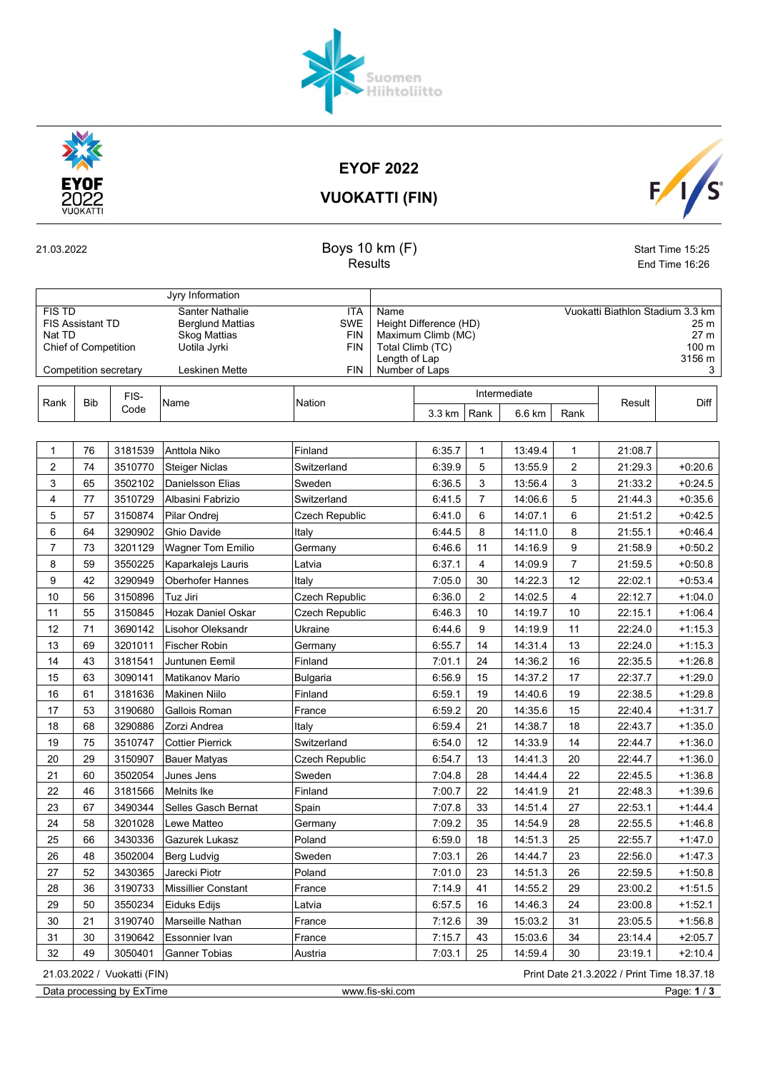

EYOF 2022

Suomen<br>Hiihtoliitto

VUOKATTI (FIN)

 $F/1/s$ 

## 21.03.2022 Start Time 15:25 Results **End Time 16:26**

|                                                                                                            |            |         | Jyry Information                                                                                                                                                          |                       |                                                                                                             |        |                |              |                                                                          |         |           |
|------------------------------------------------------------------------------------------------------------|------------|---------|---------------------------------------------------------------------------------------------------------------------------------------------------------------------------|-----------------------|-------------------------------------------------------------------------------------------------------------|--------|----------------|--------------|--------------------------------------------------------------------------|---------|-----------|
| <b>FIS TD</b><br><b>FIS Assistant TD</b><br>Nat TD<br><b>Chief of Competition</b><br>Competition secretary |            |         | Santer Nathalie<br><b>ITA</b><br><b>SWE</b><br><b>Berglund Mattias</b><br><b>Skog Mattias</b><br><b>FIN</b><br>Uotila Jyrki<br><b>FIN</b><br><b>FIN</b><br>Leskinen Mette |                       | Name<br>Height Difference (HD)<br>Maximum Climb (MC)<br>Total Climb (TC)<br>Length of Lap<br>Number of Laps |        |                |              | Vuokatti Biathlon Stadium 3.3 km<br>25 m<br>27 m<br>100 m<br>3156 m<br>3 |         |           |
|                                                                                                            |            | FIS-    |                                                                                                                                                                           |                       |                                                                                                             |        |                | Intermediate |                                                                          |         | Diff      |
| Rank                                                                                                       | <b>Bib</b> | Code    | Name                                                                                                                                                                      | Nation                |                                                                                                             | 3.3 km | Rank           | 6.6 km       | Rank                                                                     | Result  |           |
|                                                                                                            |            |         |                                                                                                                                                                           |                       |                                                                                                             |        |                |              |                                                                          |         |           |
| 1                                                                                                          | 76         | 3181539 | Anttola Niko                                                                                                                                                              | Finland               |                                                                                                             | 6:35.7 | 1              | 13:49.4      | 1                                                                        | 21:08.7 |           |
| $\overline{2}$                                                                                             | 74         | 3510770 | Steiger Niclas                                                                                                                                                            | Switzerland           |                                                                                                             | 6:39.9 | 5              | 13:55.9      | $\overline{2}$                                                           | 21:29.3 | $+0.20.6$ |
| 3                                                                                                          | 65         | 3502102 | Danielsson Elias                                                                                                                                                          | Sweden                |                                                                                                             | 6:36.5 | 3              | 13:56.4      | 3                                                                        | 21:33.2 | $+0.24.5$ |
| 4                                                                                                          | 77         | 3510729 | Albasini Fabrizio                                                                                                                                                         | Switzerland           |                                                                                                             | 6:41.5 | $\overline{7}$ | 14:06.6      | 5                                                                        | 21:44.3 | $+0.35.6$ |
| 5                                                                                                          | 57         | 3150874 | Pilar Ondrej                                                                                                                                                              | Czech Republic        |                                                                                                             | 6:41.0 | 6              | 14:07.1      | 6                                                                        | 21:51.2 | $+0.42.5$ |
| 6                                                                                                          | 64         | 3290902 | Ghio Davide                                                                                                                                                               | Italy                 |                                                                                                             | 6:44.5 | 8              | 14:11.0      | 8                                                                        | 21:55.1 | $+0.46.4$ |
| 7                                                                                                          | 73         | 3201129 | <b>Wagner Tom Emilio</b>                                                                                                                                                  | Germany               |                                                                                                             | 6:46.6 | 11             | 14:16.9      | 9                                                                        | 21:58.9 | $+0.50.2$ |
| 8                                                                                                          | 59         | 3550225 | Kaparkalejs Lauris                                                                                                                                                        | Latvia                |                                                                                                             | 6:37.1 | 4              | 14:09.9      | $\overline{7}$                                                           | 21:59.5 | $+0.50.8$ |
| 9                                                                                                          | 42         | 3290949 | Oberhofer Hannes                                                                                                                                                          | Italy                 |                                                                                                             | 7:05.0 | 30             | 14:22.3      | 12                                                                       | 22:02.1 | $+0.53.4$ |
| 10                                                                                                         | 56         | 3150896 | Tuz Jiri                                                                                                                                                                  | Czech Republic        |                                                                                                             | 6:36.0 | $\overline{c}$ | 14:02.5      | 4                                                                        | 22:12.7 | $+1.04.0$ |
| 11                                                                                                         | 55         | 3150845 | Hozak Daniel Oskar                                                                                                                                                        | <b>Czech Republic</b> |                                                                                                             | 6:46.3 | 10             | 14:19.7      | 10                                                                       | 22:15.1 | $+1.06.4$ |
| 12                                                                                                         | 71         | 3690142 | Lisohor Oleksandr                                                                                                                                                         | Ukraine               |                                                                                                             | 6:44.6 | 9              | 14:19.9      | 11                                                                       | 22:24.0 | $+1:15.3$ |
| 13                                                                                                         | 69         | 3201011 | <b>Fischer Robin</b>                                                                                                                                                      | Germany               |                                                                                                             | 6:55.7 | 14             | 14:31.4      | 13                                                                       | 22:24.0 | $+1:15.3$ |
| 14                                                                                                         | 43         | 3181541 | Juntunen Eemil                                                                                                                                                            | Finland               |                                                                                                             | 7:01.1 | 24             | 14:36.2      | 16                                                                       | 22:35.5 | $+1:26.8$ |
| 15                                                                                                         | 63         | 3090141 | Matikanov Mario                                                                                                                                                           | <b>Bulgaria</b>       |                                                                                                             | 6:56.9 | 15             | 14:37.2      | 17                                                                       | 22:37.7 | $+1.29.0$ |
| 16                                                                                                         | 61         | 3181636 | <b>Makinen Niilo</b>                                                                                                                                                      | Finland               |                                                                                                             | 6:59.1 | 19             | 14:40.6      | 19                                                                       | 22:38.5 | $+1.29.8$ |
| 17                                                                                                         | 53         | 3190680 | Gallois Roman                                                                                                                                                             | France                |                                                                                                             | 6:59.2 | 20             | 14:35.6      | 15                                                                       | 22:40.4 | $+1:31.7$ |
| 18                                                                                                         | 68         | 3290886 | Zorzi Andrea                                                                                                                                                              | Italy                 |                                                                                                             | 6:59.4 | 21             | 14:38.7      | 18                                                                       | 22:43.7 | $+1:35.0$ |
| 19                                                                                                         | 75         | 3510747 | <b>Cottier Pierrick</b>                                                                                                                                                   | Switzerland           |                                                                                                             | 6:54.0 | 12             | 14:33.9      | 14                                                                       | 22:44.7 | $+1.36.0$ |
| 20                                                                                                         | 29         | 3150907 | <b>Bauer Matyas</b>                                                                                                                                                       | Czech Republic        |                                                                                                             | 6:54.7 | 13             | 14:41.3      | 20                                                                       | 22:44.7 | $+1.36.0$ |
| 21                                                                                                         | 60         | 3502054 | Junes Jens                                                                                                                                                                | Sweden                |                                                                                                             | 7:04.8 | 28             | 14:44.4      | 22                                                                       | 22:45.5 | $+1.36.8$ |
| 22                                                                                                         | 46         | 3181566 | Melnits Ike                                                                                                                                                               | Finland               |                                                                                                             | 7:00.7 | 22             | 14:41.9      | 21                                                                       | 22:48.3 | $+1.39.6$ |
| 23                                                                                                         | 67         | 3490344 | Selles Gasch Bernat                                                                                                                                                       | Spain                 |                                                                                                             | 7:07.8 | 33             | 14:51.4      | 27                                                                       | 22:53.1 | $+1.44.4$ |
| 24                                                                                                         | 58         | 3201028 | Lewe Matteo                                                                                                                                                               | Germany               |                                                                                                             | 7:09.2 | 35             | 14:54.9      | 28                                                                       | 22:55.5 | $+1.46.8$ |
| 25                                                                                                         | 66         | 3430336 | Gazurek Lukasz                                                                                                                                                            | Poland                |                                                                                                             | 6:59.0 | 18             | 14:51.3      | 25                                                                       | 22:55.7 | $+1.47.0$ |
| 26                                                                                                         | 48         | 3502004 | Berg Ludvig                                                                                                                                                               | Sweden                |                                                                                                             | 7:03.1 | $26\,$         | 14:44.7      | 23                                                                       | 22:56.0 | $+1.47.3$ |
| 27                                                                                                         | 52         | 3430365 | Jarecki Piotr                                                                                                                                                             | Poland                |                                                                                                             | 7:01.0 | 23             | 14:51.3      | 26                                                                       | 22:59.5 | $+1:50.8$ |
| 28                                                                                                         | 36         | 3190733 | Missillier Constant                                                                                                                                                       | France                |                                                                                                             | 7:14.9 | 41             | 14:55.2      | 29                                                                       | 23:00.2 | $+1:51.5$ |
| 29                                                                                                         | 50         | 3550234 | Eiduks Edijs                                                                                                                                                              | Latvia                |                                                                                                             | 6:57.5 | 16             | 14:46.3      | 24                                                                       | 23:00.8 | $+1.52.1$ |
| 30                                                                                                         | 21         | 3190740 | Marseille Nathan                                                                                                                                                          | France                |                                                                                                             | 7:12.6 | 39             | 15:03.2      | 31                                                                       | 23:05.5 | $+1.56.8$ |
| 31                                                                                                         | 30         | 3190642 | Essonnier Ivan                                                                                                                                                            | France                |                                                                                                             | 7:15.7 | 43             | 15:03.6      | 34                                                                       | 23:14.4 | $+2.05.7$ |
| 32                                                                                                         | 49         | 3050401 | Ganner Tobias                                                                                                                                                             | Austria               |                                                                                                             | 7:03.1 | 25             | 14:59.4      | 30                                                                       | 23:19.1 | $+2:10.4$ |

Data processing by ExTime www.fis-ski.com Page: 1/3

21.03.2022 / Vuokatti (FIN) Print Date 21.3.2022 / Print Time 18.37.18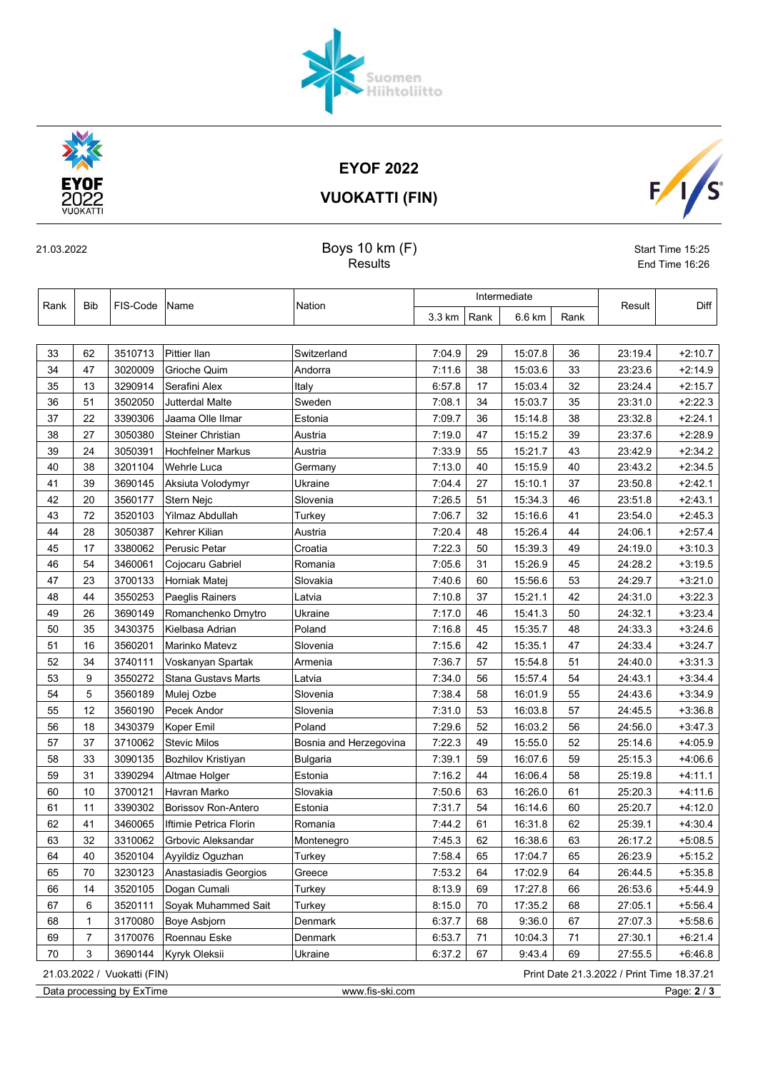EYOF 2022 VUOKATTI (FIN)

Suomen<br>Hiihtoliitto



## 21.03.2022 Start Time 15:25

Results **End Time 16:26** 

| Rank |                                                                           | FIS-Code | Name                       | Nation                 | Intermediate |      |         |      |         |           |
|------|---------------------------------------------------------------------------|----------|----------------------------|------------------------|--------------|------|---------|------|---------|-----------|
|      | Bib                                                                       |          |                            |                        | 3.3 km       | Rank | 6.6 km  | Rank | Result  | Diff      |
|      |                                                                           |          |                            |                        |              |      |         |      |         |           |
| 33   | 62                                                                        | 3510713  | <b>Pittier Ilan</b>        | Switzerland            | 7:04.9       | 29   | 15:07.8 | 36   | 23:19.4 | $+2:10.7$ |
| 34   | 47                                                                        | 3020009  | Grioche Quim               | Andorra                | 7:11.6       | 38   | 15:03.6 | 33   | 23:23.6 | $+2.14.9$ |
| 35   | 13                                                                        | 3290914  | Serafini Alex              | Italy                  | 6:57.8       | 17   | 15:03.4 | 32   | 23:24.4 | $+2:15.7$ |
| 36   | 51                                                                        | 3502050  | Jutterdal Malte            | Sweden                 | 7:08.1       | 34   | 15:03.7 | 35   | 23:31.0 | $+2:22.3$ |
| 37   | 22                                                                        | 3390306  | Jaama Olle Ilmar           | Estonia                | 7:09.7       | 36   | 15:14.8 | 38   | 23:32.8 | $+2.24.1$ |
| 38   | 27                                                                        | 3050380  | <b>Steiner Christian</b>   | Austria                | 7:19.0       | 47   | 15:15.2 | 39   | 23:37.6 | $+2.28.9$ |
| 39   | 24                                                                        | 3050391  | <b>Hochfelner Markus</b>   | Austria                | 7:33.9       | 55   | 15:21.7 | 43   | 23:42.9 | $+2.34.2$ |
| 40   | 38                                                                        | 3201104  | Wehrle Luca                | Germany                | 7:13.0       | 40   | 15:15.9 | 40   | 23:43.2 | $+2:34.5$ |
| 41   | 39                                                                        | 3690145  | Aksiuta Volodymyr          | Ukraine                | 7:04.4       | 27   | 15:10.1 | 37   | 23:50.8 | $+2.42.1$ |
| 42   | 20                                                                        | 3560177  | Stern Nejc                 | Slovenia               | 7:26.5       | 51   | 15:34.3 | 46   | 23:51.8 | $+2:43.1$ |
| 43   | 72                                                                        | 3520103  | Yilmaz Abdullah            | Turkey                 | 7:06.7       | 32   | 15:16.6 | 41   | 23:54.0 | $+2.45.3$ |
| 44   | 28                                                                        | 3050387  | Kehrer Kilian              | Austria                | 7:20.4       | 48   | 15:26.4 | 44   | 24:06.1 | $+2.57.4$ |
| 45   | 17                                                                        | 3380062  | Perusic Petar              | Croatia                | 7:22.3       | 50   | 15:39.3 | 49   | 24:19.0 | $+3:10.3$ |
| 46   | 54                                                                        | 3460061  | Cojocaru Gabriel           | Romania                | 7:05.6       | 31   | 15:26.9 | 45   | 24:28.2 | $+3:19.5$ |
| 47   | 23                                                                        | 3700133  | Horniak Matej              | Slovakia               | 7:40.6       | 60   | 15:56.6 | 53   | 24:29.7 | $+3:21.0$ |
| 48   | 44                                                                        | 3550253  | Paeglis Rainers            | Latvia                 | 7:10.8       | 37   | 15:21.1 | 42   | 24:31.0 | $+3.22.3$ |
| 49   | 26                                                                        | 3690149  | Romanchenko Dmytro         | Ukraine                | 7:17.0       | 46   | 15:41.3 | 50   | 24:32.1 | $+3.23.4$ |
| 50   | 35                                                                        | 3430375  | Kielbasa Adrian            | Poland                 | 7:16.8       | 45   | 15:35.7 | 48   | 24:33.3 | $+3:24.6$ |
| 51   | 16                                                                        | 3560201  | Marinko Matevz             | Slovenia               | 7:15.6       | 42   | 15:35.1 | 47   | 24:33.4 | $+3:24.7$ |
| 52   | 34                                                                        | 3740111  | Voskanyan Spartak          | Armenia                | 7:36.7       | 57   | 15:54.8 | 51   | 24:40.0 | $+3.31.3$ |
| 53   | 9                                                                         | 3550272  | <b>Stana Gustavs Marts</b> | Latvia                 | 7:34.0       | 56   | 15:57.4 | 54   | 24:43.1 | $+3.34.4$ |
| 54   | 5                                                                         | 3560189  | Mulej Ozbe                 | Slovenia               | 7:38.4       | 58   | 16:01.9 | 55   | 24:43.6 | $+3.34.9$ |
| 55   | 12                                                                        | 3560190  | Pecek Andor                | Slovenia               | 7:31.0       | 53   | 16:03.8 | 57   | 24:45.5 | $+3.36.8$ |
| 56   | 18                                                                        | 3430379  | Koper Emil                 | Poland                 | 7:29.6       | 52   | 16:03.2 | 56   | 24:56.0 | $+3.47.3$ |
| 57   | 37                                                                        | 3710062  | Stevic Milos               | Bosnia and Herzegovina | 7:22.3       | 49   | 15:55.0 | 52   | 25:14.6 | $+4.05.9$ |
| 58   | 33                                                                        | 3090135  | Bozhilov Kristiyan         | Bulgaria               | 7:39.1       | 59   | 16:07.6 | 59   | 25:15.3 | $+4.06.6$ |
| 59   | 31                                                                        | 3390294  | Altmae Holger              | Estonia                | 7:16.2       | 44   | 16:06.4 | 58   | 25:19.8 | $+4.11.1$ |
| 60   | 10                                                                        | 3700121  | Havran Marko               | Slovakia               | 7:50.6       | 63   | 16:26.0 | 61   | 25:20.3 | $+4.11.6$ |
| 61   | 11                                                                        | 3390302  | <b>Borissov Ron-Antero</b> | Estonia                | 7:31.7       | 54   | 16:14.6 | 60   | 25:20.7 | $+4:12.0$ |
| 62   | 41                                                                        | 3460065  | Iftimie Petrica Florin     | Romania                | 7:44.2       | 61   | 16:31.8 | 62   | 25:39.1 | $+4:30.4$ |
| 63   | 32                                                                        | 3310062  | Grbovic Aleksandar         | Montenegro             | 7:45.3       | 62   | 16:38.6 | 63   | 26:17.2 | $+5:08.5$ |
| 64   | 40                                                                        | 3520104  | Ayyildiz Oguzhan           | Turkey                 | 7:58.4       | 65   | 17:04.7 | 65   | 26:23.9 | $+5:15.2$ |
| 65   | 70                                                                        | 3230123  | Anastasiadis Georgios      | Greece                 | 7:53.2       | 64   | 17:02.9 | 64   | 26:44.5 | $+5:35.8$ |
| 66   | 14                                                                        | 3520105  | Dogan Cumali               | Turkey                 | 8:13.9       | 69   | 17:27.8 | 66   | 26:53.6 | $+5.44.9$ |
| 67   | 6                                                                         | 3520111  | Soyak Muhammed Sait        | Turkey                 | 8:15.0       | 70   | 17:35.2 | 68   | 27:05.1 | $+5.56.4$ |
| 68   | 1                                                                         | 3170080  | Boye Asbjorn               | Denmark                | 6:37.7       | 68   | 9:36.0  | 67   | 27:07.3 | $+5:58.6$ |
| 69   | 7                                                                         | 3170076  | Roennau Eske               | Denmark                | 6:53.7       | 71   | 10:04.3 | 71   | 27:30.1 | $+6.21.4$ |
| 70   | 3                                                                         | 3690144  | Kyryk Oleksii              | Ukraine                | 6:37.2       | 67   | 9:43.4  | 69   | 27:55.5 | $+6.46.8$ |
|      | Print Date 21.3.2022 / Print Time 18.37.21<br>21.03.2022 / Vuokatti (FIN) |          |                            |                        |              |      |         |      |         |           |

Data processing by ExTime www.fis-ski.com Page: 2 / 3